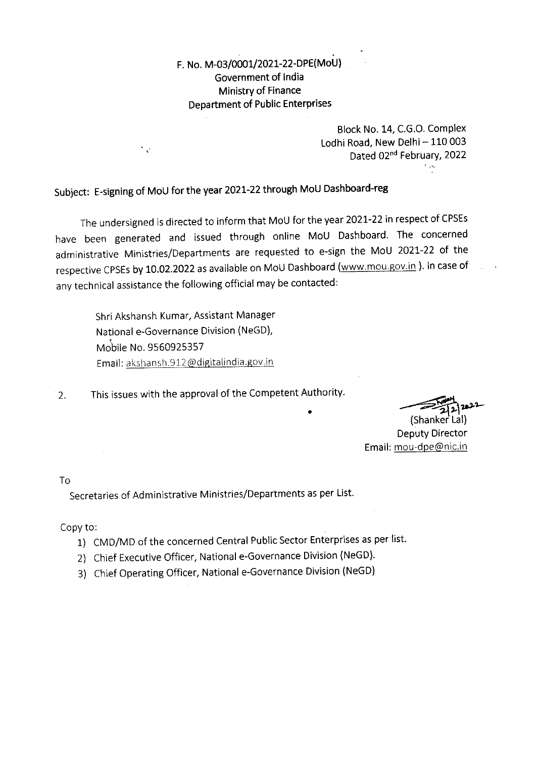F. No. M-03/0001/2021-22-DPE(MoU) Government of India Ministry of Finance **Department of Public Enterprises** 

> Block No. 14, C.G.O. Complex Lodhi Road, New Delhi - 110 003 Dated 02nd February, 2022  $\mathcal{L}_{\mathcal{A}}$

Subject: E-signing of MoU for the year 2021-22 through MoU Dashboard-reg

The undersigned is directed to inform that MoU for the year 2021-22 in respect of CPSEs have been generated and issued through online MoU Dashboard. The concerned administrative Ministries/Departments are requested to e-sign the MoU 2021-22 of the respective CPSEs by 10.02.2022 as available on MoU Dashboard (www.mou.gov.in). In case of any technical assistance the following official may be contacted:

Shri Akshansh Kumar, Assistant Manager National e-Governance Division (NeGD), Mobile No. 9560925357 Email: akshansh.912@digitalindia.gov.in

 $\overline{\phantom{a}}$  .

This issues with the approval of the Competent Authority.  $2.$ 

(Shanker Lal) **Deputy Director** Email: mou-dpe@nic.in

Tο<sub></sub>

Secretaries of Administrative Ministries/Departments as per List.

Copy to:

- 1) CMD/MD of the concerned Central Public Sector Enterprises as per list.
- 2) Chief Executive Officer, National e-Governance Division (NeGD).
- 3) Chief Operating Officer, National e-Governance Division (NeGD)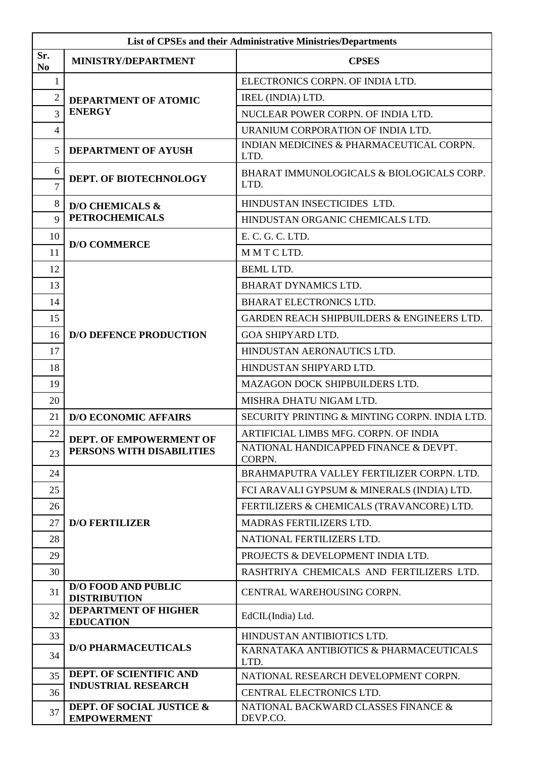| List of CPSEs and their Administrative Ministries/Departments |                                                       |                                                   |  |  |
|---------------------------------------------------------------|-------------------------------------------------------|---------------------------------------------------|--|--|
| Sr.<br>N <sub>0</sub>                                         | <b>MINISTRY/DEPARTMENT</b>                            | <b>CPSES</b>                                      |  |  |
| $\mathbf{1}$                                                  | DEPARTMENT OF ATOMIC<br><b>ENERGY</b>                 | ELECTRONICS CORPN. OF INDIA LTD.                  |  |  |
| $\overline{c}$                                                |                                                       | IREL (INDIA) LTD.                                 |  |  |
| $\overline{3}$                                                |                                                       | NUCLEAR POWER CORPN. OF INDIA LTD.                |  |  |
| $\overline{4}$                                                |                                                       | URANIUM CORPORATION OF INDIA LTD.                 |  |  |
| 5                                                             | <b>DEPARTMENT OF AYUSH</b>                            | INDIAN MEDICINES & PHARMACEUTICAL CORPN.<br>LTD.  |  |  |
| 6<br>$\overline{7}$                                           | DEPT. OF BIOTECHNOLOGY                                | BHARAT IMMUNOLOGICALS & BIOLOGICALS CORP.<br>LTD. |  |  |
| $\,8\,$                                                       | <b>D/O CHEMICALS &amp;</b><br><b>PETROCHEMICALS</b>   | HINDUSTAN INSECTICIDES LTD.                       |  |  |
| $\overline{Q}$                                                |                                                       | HINDUSTAN ORGANIC CHEMICALS LTD.                  |  |  |
| 10                                                            |                                                       | E. C. G. C. LTD.                                  |  |  |
| 11                                                            | <b>D/O COMMERCE</b>                                   | MMTCLTD.                                          |  |  |
| 12                                                            |                                                       | <b>BEML LTD.</b>                                  |  |  |
| 13                                                            |                                                       | <b>BHARAT DYNAMICS LTD.</b>                       |  |  |
| 14                                                            |                                                       | <b>BHARAT ELECTRONICS LTD.</b>                    |  |  |
| 15                                                            |                                                       | GARDEN REACH SHIPBUILDERS & ENGINEERS LTD.        |  |  |
| 16                                                            | <b>D/O DEFENCE PRODUCTION</b>                         | <b>GOA SHIPYARD LTD.</b>                          |  |  |
| 17                                                            |                                                       | HINDUSTAN AERONAUTICS LTD.                        |  |  |
| 18                                                            |                                                       | HINDUSTAN SHIPYARD LTD.                           |  |  |
| 19                                                            |                                                       | MAZAGON DOCK SHIPBUILDERS LTD.                    |  |  |
| 20                                                            |                                                       | MISHRA DHATU NIGAM LTD.                           |  |  |
| 21                                                            | <b>D/O ECONOMIC AFFAIRS</b>                           | SECURITY PRINTING & MINTING CORPN. INDIA LTD.     |  |  |
| 22                                                            | DEPT. OF EMPOWERMENT OF                               | ARTIFICIAL LIMBS MFG. CORPN. OF INDIA             |  |  |
| 23                                                            | PERSONS WITH DISABILITIES                             | NATIONAL HANDICAPPED FINANCE & DEVPT.<br>CORPN.   |  |  |
| 24                                                            |                                                       | BRAHMAPUTRA VALLEY FERTILIZER CORPN. LTD.         |  |  |
| 25                                                            |                                                       | FCI ARAVALI GYPSUM & MINERALS (INDIA) LTD.        |  |  |
| 26                                                            |                                                       | FERTILIZERS & CHEMICALS (TRAVANCORE) LTD.         |  |  |
| 27                                                            | <b>D/O FERTILIZER</b>                                 | MADRAS FERTILIZERS LTD.                           |  |  |
| 28                                                            |                                                       | NATIONAL FERTILIZERS LTD.                         |  |  |
| 29                                                            |                                                       | PROJECTS & DEVELOPMENT INDIA LTD.                 |  |  |
| 30                                                            |                                                       | RASHTRIYA CHEMICALS AND FERTILIZERS LTD.          |  |  |
| 31                                                            | <b>D/O FOOD AND PUBLIC</b><br><b>DISTRIBUTION</b>     | CENTRAL WAREHOUSING CORPN.                        |  |  |
| 32                                                            | <b>DEPARTMENT OF HIGHER</b><br><b>EDUCATION</b>       | EdCIL(India) Ltd.                                 |  |  |
| 33                                                            | <b>D/O PHARMACEUTICALS</b>                            | HINDUSTAN ANTIBIOTICS LTD.                        |  |  |
| 34                                                            |                                                       | KARNATAKA ANTIBIOTICS & PHARMACEUTICALS<br>LTD.   |  |  |
| 35                                                            | DEPT. OF SCIENTIFIC AND<br><b>INDUSTRIAL RESEARCH</b> | NATIONAL RESEARCH DEVELOPMENT CORPN.              |  |  |
| 36                                                            |                                                       | CENTRAL ELECTRONICS LTD.                          |  |  |
| 37                                                            | DEPT. OF SOCIAL JUSTICE &<br><b>EMPOWERMENT</b>       | NATIONAL BACKWARD CLASSES FINANCE &<br>DEVP.CO.   |  |  |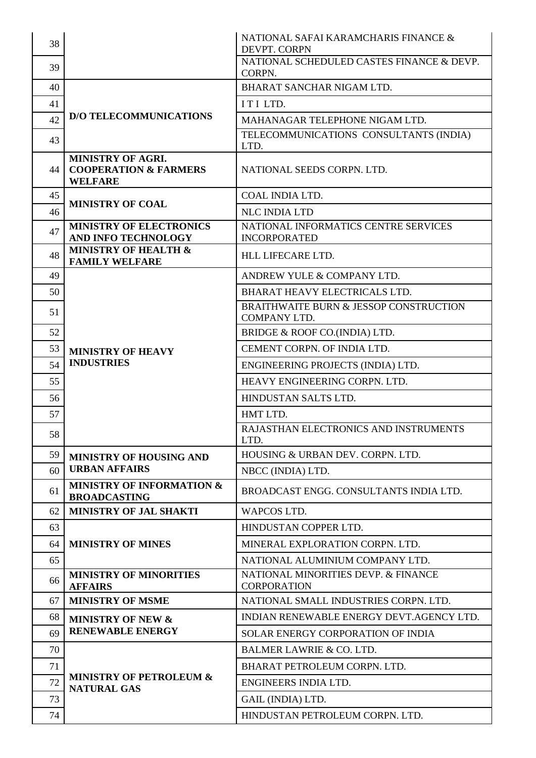| 38 |                                                                                | NATIONAL SAFAI KARAMCHARIS FINANCE &<br>DEVPT. CORPN              |
|----|--------------------------------------------------------------------------------|-------------------------------------------------------------------|
| 39 |                                                                                | NATIONAL SCHEDULED CASTES FINANCE & DEVP.<br>CORPN.               |
| 40 |                                                                                | <b>BHARAT SANCHAR NIGAM LTD.</b>                                  |
| 41 |                                                                                | ITILTD.                                                           |
| 42 | <b>D/O TELECOMMUNICATIONS</b>                                                  | MAHANAGAR TELEPHONE NIGAM LTD.                                    |
| 43 |                                                                                | TELECOMMUNICATIONS CONSULTANTS (INDIA)<br>LTD.                    |
| 44 | <b>MINISTRY OF AGRI.</b><br><b>COOPERATION &amp; FARMERS</b><br><b>WELFARE</b> | NATIONAL SEEDS CORPN. LTD.                                        |
| 45 | <b>MINISTRY OF COAL</b>                                                        | COAL INDIA LTD.                                                   |
| 46 |                                                                                | <b>NLC INDIA LTD</b>                                              |
| 47 | <b>MINISTRY OF ELECTRONICS</b><br>AND INFO TECHNOLOGY                          | NATIONAL INFORMATICS CENTRE SERVICES<br><b>INCORPORATED</b>       |
| 48 | <b>MINISTRY OF HEALTH &amp;</b><br><b>FAMILY WELFARE</b>                       | HLL LIFECARE LTD.                                                 |
| 49 |                                                                                | ANDREW YULE & COMPANY LTD.                                        |
| 50 |                                                                                | <b>BHARAT HEAVY ELECTRICALS LTD.</b>                              |
| 51 |                                                                                | <b>BRAITHWAITE BURN &amp; JESSOP CONSTRUCTION</b><br>COMPANY LTD. |
| 52 |                                                                                | BRIDGE & ROOF CO.(INDIA) LTD.                                     |
| 53 | <b>MINISTRY OF HEAVY</b>                                                       | CEMENT CORPN. OF INDIA LTD.                                       |
| 54 | <b>INDUSTRIES</b>                                                              | ENGINEERING PROJECTS (INDIA) LTD.                                 |
| 55 |                                                                                | HEAVY ENGINEERING CORPN. LTD.                                     |
| 56 |                                                                                | HINDUSTAN SALTS LTD.                                              |
| 57 |                                                                                | HMT LTD.                                                          |
| 58 |                                                                                | RAJASTHAN ELECTRONICS AND INSTRUMENTS<br>LTD.                     |
| 59 | MINISTRY OF HOUSING AND                                                        | HOUSING & URBAN DEV. CORPN. LTD.                                  |
| 60 | <b>URBAN AFFAIRS</b>                                                           | NBCC (INDIA) LTD.                                                 |
| 61 | <b>MINISTRY OF INFORMATION &amp;</b><br><b>BROADCASTING</b>                    | BROADCAST ENGG. CONSULTANTS INDIA LTD.                            |
| 62 | MINISTRY OF JAL SHAKTI                                                         | <b>WAPCOS LTD.</b>                                                |
| 63 |                                                                                | HINDUSTAN COPPER LTD.                                             |
| 64 | <b>MINISTRY OF MINES</b>                                                       | MINERAL EXPLORATION CORPN. LTD.                                   |
| 65 |                                                                                | NATIONAL ALUMINIUM COMPANY LTD.                                   |
| 66 | <b>MINISTRY OF MINORITIES</b><br><b>AFFAIRS</b>                                | NATIONAL MINORITIES DEVP. & FINANCE<br><b>CORPORATION</b>         |
| 67 | <b>MINISTRY OF MSME</b>                                                        | NATIONAL SMALL INDUSTRIES CORPN. LTD.                             |
| 68 | <b>MINISTRY OF NEW &amp;</b>                                                   | INDIAN RENEWABLE ENERGY DEVT.AGENCY LTD.                          |
| 69 | <b>RENEWABLE ENERGY</b>                                                        | SOLAR ENERGY CORPORATION OF INDIA                                 |
| 70 | <b>MINISTRY OF PETROLEUM &amp;</b><br><b>NATURAL GAS</b>                       | <b>BALMER LAWRIE &amp; CO. LTD.</b>                               |
| 71 |                                                                                | BHARAT PETROLEUM CORPN. LTD.                                      |
| 72 |                                                                                | ENGINEERS INDIA LTD.                                              |
| 73 |                                                                                | GAIL (INDIA) LTD.                                                 |
| 74 |                                                                                | HINDUSTAN PETROLEUM CORPN. LTD.                                   |